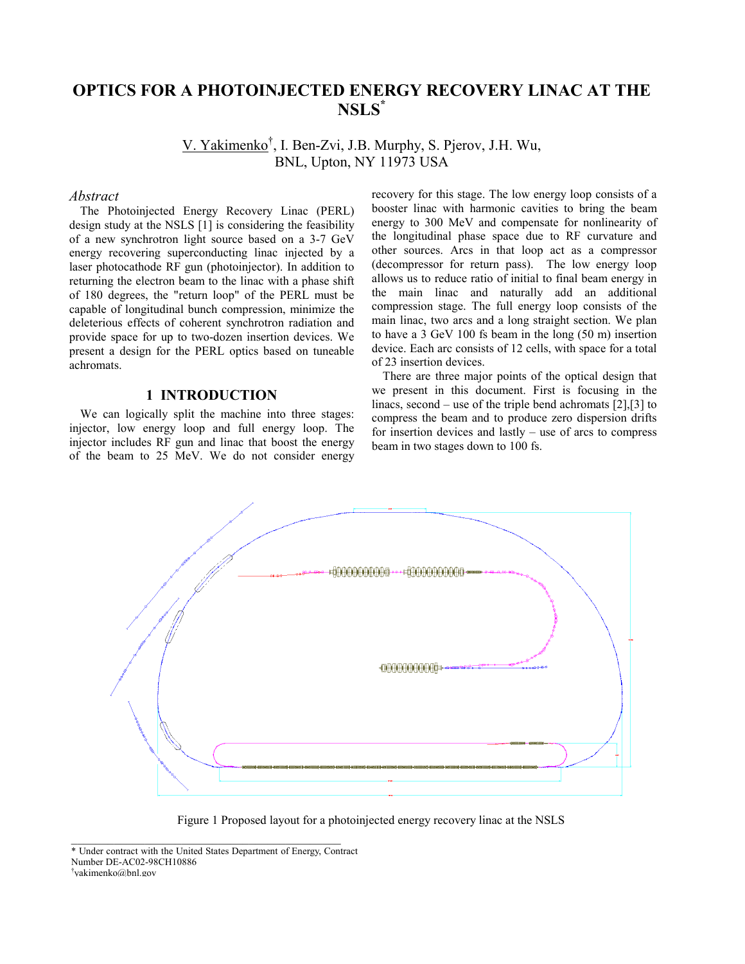# **OPTICS FOR A PHOTOINJECTED ENERGY RECOVERY LINAC AT THE NSLS\***

V. Yakimenko<sup>†</sup>, I. Ben-Zvi, J.B. Murphy, S. Pjerov, J.H. Wu, BNL, Upton, NY 11973 USA

### *Abstract*

The Photoinjected Energy Recovery Linac (PERL) design study at the NSLS [1] is considering the feasibility of a new synchrotron light source based on a 3-7 GeV energy recovering superconducting linac injected by a laser photocathode RF gun (photoinjector). In addition to returning the electron beam to the linac with a phase shift of 180 degrees, the "return loop" of the PERL must be capable of longitudinal bunch compression, minimize the deleterious effects of coherent synchrotron radiation and provide space for up to two-dozen insertion devices. We present a design for the PERL optics based on tuneable achromats.

## **1 INTRODUCTION**

We can logically split the machine into three stages: injector, low energy loop and full energy loop. The injector includes RF gun and linac that boost the energy of the beam to 25 MeV. We do not consider energy

recovery for this stage. The low energy loop consists of a booster linac with harmonic cavities to bring the beam energy to 300 MeV and compensate for nonlinearity of the longitudinal phase space due to RF curvature and other sources. Arcs in that loop act as a compressor (decompressor for return pass). The low energy loop allows us to reduce ratio of initial to final beam energy in the main linac and naturally add an additional compression stage. The full energy loop consists of the main linac, two arcs and a long straight section. We plan to have a 3 GeV 100 fs beam in the long (50 m) insertion device. Each arc consists of 12 cells, with space for a total of 23 insertion devices.

There are three major points of the optical design that we present in this document. First is focusing in the linacs, second – use of the triple bend achromats  $[2]$ ,  $[3]$  to compress the beam and to produce zero dispersion drifts for insertion devices and lastly  $-$  use of arcs to compress beam in two stages down to 100 fs.



Figure 1 Proposed layout for a photoinjected energy recovery linac at the NSLS

<sup>\*</sup> Under contract with the United States Department of Energy, Contract Number DE-AC02-98CH10886 Ü yakimenko@bnl.gov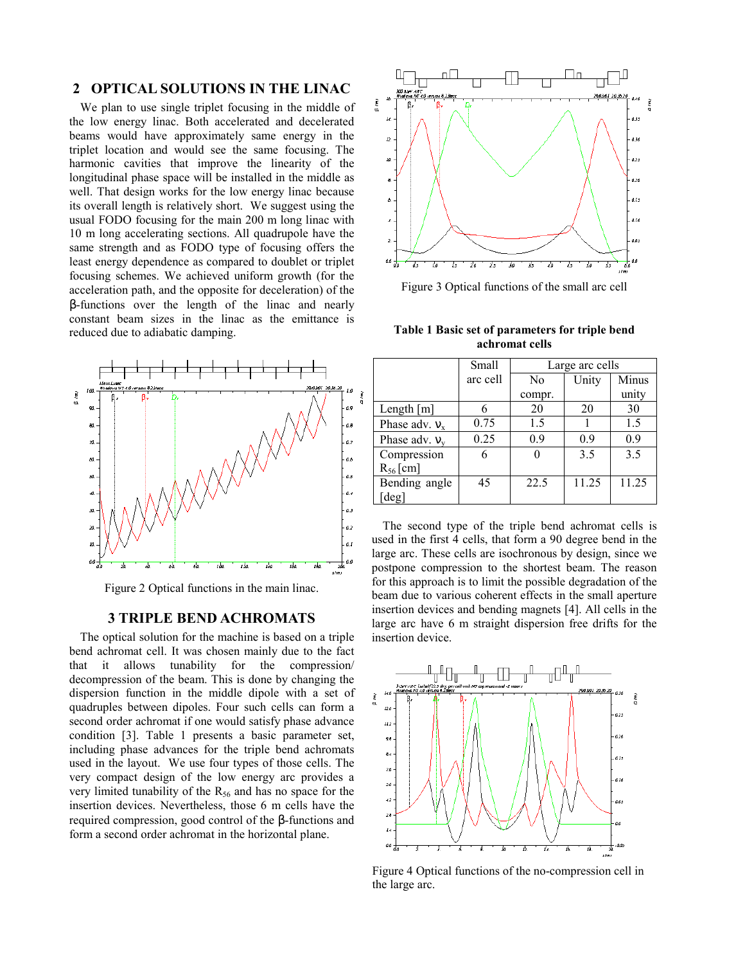# **2 OPTICAL SOLUTIONS IN THE LINAC**

We plan to use single triplet focusing in the middle of the low energy linac. Both accelerated and decelerated beams would have approximately same energy in the triplet location and would see the same focusing. The harmonic cavities that improve the linearity of the longitudinal phase space will be installed in the middle as well. That design works for the low energy linac because its overall length is relatively short. We suggest using the usual FODO focusing for the main 200 m long linac with 10 m long accelerating sections. All quadrupole have the same strength and as FODO type of focusing offers the least energy dependence as compared to doublet or triplet focusing schemes. We achieved uniform growth (for the acceleration path, and the opposite for deceleration) of the β-functions over the length of the linac and nearly constant beam sizes in the linac as the emittance is reduced due to adiabatic damping.



Figure 2 Optical functions in the main linac.

## **3 TRIPLE BEND ACHROMATS**

The optical solution for the machine is based on a triple bend achromat cell. It was chosen mainly due to the fact that it allows tunability for the compression/ decompression of the beam. This is done by changing the dispersion function in the middle dipole with a set of quadruples between dipoles. Four such cells can form a second order achromat if one would satisfy phase advance condition [3]. Table 1 presents a basic parameter set, including phase advances for the triple bend achromats used in the layout. We use four types of those cells. The very compact design of the low energy arc provides a very limited tunability of the  $R_{56}$  and has no space for the insertion devices. Nevertheless, those 6 m cells have the required compression, good control of the β-functions and form a second order achromat in the horizontal plane.



Figure 3 Optical functions of the small arc cell

**Table 1 Basic set of parameters for triple bend achromat cells** 

|                    | Small    | Large arc cells |       |       |
|--------------------|----------|-----------------|-------|-------|
|                    | arc cell | N <sub>0</sub>  | Unity | Minus |
|                    |          | compr.          |       | unity |
| Length $[m]$       |          | 20              | 20    | 30    |
| Phase adv. $v_x$   | 0.75     | 1.5             |       | 1.5   |
| Phase adv. $v_{v}$ | 0.25     | 0.9             | 09    | 0.9   |
| Compression        |          |                 | 3.5   | 3.5   |
| $R_{56}$ [cm]      |          |                 |       |       |
| Bending angle      | 45       | 22.5            | 11.25 | 11.25 |
| [deg]              |          |                 |       |       |

The second type of the triple bend achromat cells is used in the first 4 cells, that form a 90 degree bend in the large arc. These cells are isochronous by design, since we postpone compression to the shortest beam. The reason for this approach is to limit the possible degradation of the beam due to various coherent effects in the small aperture insertion devices and bending magnets [4]. All cells in the large arc have 6 m straight dispersion free drifts for the insertion device.



Figure 4 Optical functions of the no-compression cell in the large arc.